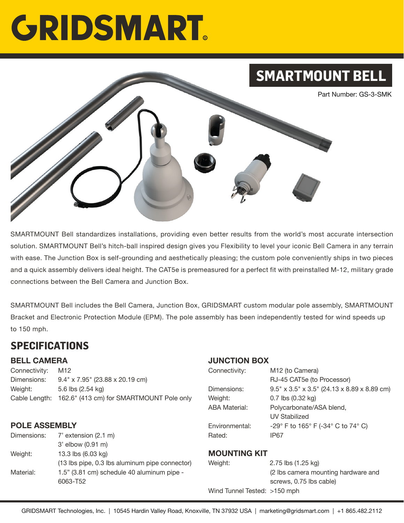# **GRIDSMART**



SMARTMOUNT Bell standardizes installations, providing even better results from the world's most accurate intersection solution. SMARTMOUNT Bell's hitch-ball inspired design gives you Flexibility to level your iconic Bell Camera in any terrain with ease. The Junction Box is self-grounding and aesthetically pleasing; the custom pole conveniently ships in two pieces and a quick assembly delivers ideal height. The CAT5e is premeasured for a perfect fit with preinstalled M-12, military grade connections between the Bell Camera and Junction Box.

SMARTMOUNT Bell includes the Bell Camera, Junction Box, GRIDSMART custom modular pole assembly, SMARTMOUNT Bracket and Electronic Protection Module (EPM). The pole assembly has been independently tested for wind speeds up to 150 mph.

### **SPECIFICATIONS**

#### **BELL CAMERA**

Connectivity: M12 Dimensions: 9.4" x 7.95" (23.88 x 20.19 cm) Weight: 5.6 lbs (2.54 kg) Cable Length: 162.6" (413 cm) for SMARTMOUNT Pole only

#### **POLE ASSEMBLY**

Dimensions: 7' extension (2.1 m) 3' elbow (0.91 m) Weight: 13.3 lbs (6.03 kg) (13 lbs pipe, 0.3 lbs aluminum pipe connector) Material: 1.5" (3.81 cm) schedule 40 aluminum pipe -6063-T52

#### **JUNCTION BOX**

| Connectivity:  | M12 (to Camera)                                |
|----------------|------------------------------------------------|
|                | RJ-45 CAT5e (to Processor)                     |
| Dimensions:    | $9.5''$ x 3.5" x 3.5" (24.13 x 8.89 x 8.89 cm) |
| Weight:        | $0.7$ lbs $(0.32$ kg)                          |
| ABA Material:  | Polycarbonate/ASA blend,                       |
|                | <b>UV Stabilized</b>                           |
| Environmental: | -29° F to 165° F (-34° C to 74° C)             |
| Rated:         | IP <sub>67</sub>                               |
|                |                                                |

#### **MOUNTING KIT**

| Weight:                      | 2.75 lbs (1.25 kg)                  |
|------------------------------|-------------------------------------|
|                              | (2 lbs camera mounting hardware and |
|                              | screws, 0.75 lbs cable)             |
| Wind Tunnel Tested: >150 mph |                                     |
|                              |                                     |